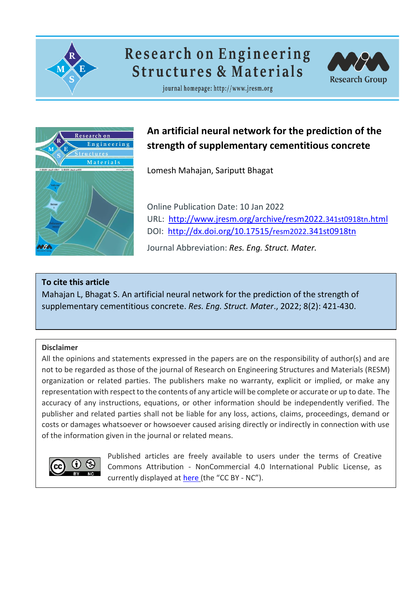

# **Research on Engineering Structures & Materials**



journal homepage: http://www.jresm.org



# **An artificial neural network for the prediction of the strength of supplementary cementitious concrete**

Lomesh Mahajan, Sariputt Bhagat

Online Publication Date: 10 Jan 2022 URL: [http://www.jresm.org/archive/resm2022.](http://www.jresm.org/archive/resm2022.341st0918tn.html)341st0918tn.html DOI: [http://dx.doi.org/10.17515/](http://dx.doi.org/10.17515/resm2022.341st0918tn)resm2022.341st0918tn

Journal Abbreviation: *Res. Eng. Struct. Mater.*

### **To cite this article**

Mahajan L, Bhagat S. An artificial neural network for the prediction of the strength of supplementary cementitious concrete. *Res. Eng. Struct. Mater*., 2022; 8(2): 421-430.

### **Disclaimer**

All the opinions and statements expressed in the papers are on the responsibility of author(s) and are not to be regarded as those of the journal of Research on Engineering Structures and Materials (RESM) organization or related parties. The publishers make no warranty, explicit or implied, or make any representation with respect to the contents of any article will be complete or accurate or up to date. The accuracy of any instructions, equations, or other information should be independently verified. The publisher and related parties shall not be liable for any loss, actions, claims, proceedings, demand or costs or damages whatsoever or howsoever caused arising directly or indirectly in connection with use of the information given in the journal or related means.



Published articles are freely available to users under the terms of Creative Commons Attribution ‐ NonCommercial 4.0 International Public License, as currently displayed at [here](https://creativecommons.org/licenses/by-nc/4.0/legalcode) (the "CC BY - NC").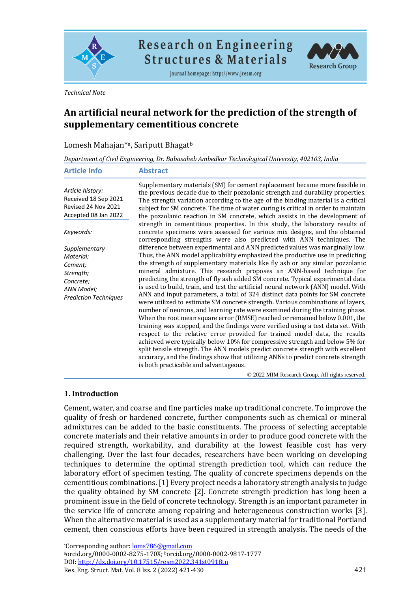

**Research on Engineering Structures & Materials** 

journal homepage: http://www.jresm.org



*Technical Note*

## **An artificial neural network for the prediction of the strength of supplementary cementitious concrete**

| Lomesh Mahajan* <sup>a</sup> , Sariputt Bhagat <sup>b</sup> |  |
|-------------------------------------------------------------|--|
|                                                             |  |

*Department of Civil Engineering, Dr. Babasaheb Ambedkar Technological University, 402103, India*

| <b>Article Info</b>                                                                                           | <b>Abstract</b>                                                                                                                                                                                                                                                                                                                                                                                                                                                                                                                                                                                                                                                                                                                                                                                                                                                                                                         |  |
|---------------------------------------------------------------------------------------------------------------|-------------------------------------------------------------------------------------------------------------------------------------------------------------------------------------------------------------------------------------------------------------------------------------------------------------------------------------------------------------------------------------------------------------------------------------------------------------------------------------------------------------------------------------------------------------------------------------------------------------------------------------------------------------------------------------------------------------------------------------------------------------------------------------------------------------------------------------------------------------------------------------------------------------------------|--|
| Article history:<br>Received 18 Sep 2021<br>Revised 24 Nov 2021<br>Accepted 08 Jan 2022                       | Supplementary materials (SM) for cement replacement became more feasible in<br>the previous decade due to their pozzolanic strength and durability properties.<br>The strength variation according to the age of the binding material is a critical<br>subject for SM concrete. The time of water curing is critical in order to maintain<br>the pozzolanic reaction in SM concrete, which assists in the development of                                                                                                                                                                                                                                                                                                                                                                                                                                                                                                |  |
| Keywords:                                                                                                     | strength in cementitious properties. In this study, the laboratory results of<br>concrete specimens were assessed for various mix designs, and the obtained<br>corresponding strengths were also predicted with ANN techniques. The                                                                                                                                                                                                                                                                                                                                                                                                                                                                                                                                                                                                                                                                                     |  |
| Supplementary<br>Material;<br>Cement;<br>Strength;<br>Concrete;<br>ANN Model;<br><b>Prediction Techniques</b> | difference between experimental and ANN predicted values was marginally low.<br>Thus, the ANN model applicability emphasized the productive use in predicting<br>the strength of supplementary materials like fly ash or any similar pozzolanic<br>mineral admixture. This research proposes an ANN-based technique for<br>predicting the strength of fly ash added SM concrete. Typical experimental data<br>is used to build, train, and test the artificial neural network (ANN) model. With<br>ANN and input parameters, a total of 324 distinct data points for SM concrete<br>were utilized to estimate SM concrete strength. Various combinations of layers,<br>number of neurons, and learning rate were examined during the training phase.<br>When the root mean square error (RMSE) reached or remained below 0.001, the<br>training was stopped, and the findings were verified using a test data set. With |  |
|                                                                                                               | respect to the relative error provided for trained model data, the results<br>achieved were typically below 10% for compressive strength and below 5% for<br>split tensile strength. The ANN models predict concrete strength with excellent<br>accuracy, and the findings show that utilizing ANNs to predict concrete strength<br>is both practicable and advantageous.                                                                                                                                                                                                                                                                                                                                                                                                                                                                                                                                               |  |

© 2022 MIM Research Group. All rights reserved.

#### **1. Introduction**

Cement, water, and coarse and fine particles make up traditional concrete. To improve the quality of fresh or hardened concrete, further components such as chemical or mineral admixtures can be added to the basic constituents. The process of selecting acceptable concrete materials and their relative amounts in order to produce good concrete with the required strength, workability, and durability at the lowest feasible cost has very challenging. Over the last four decades, researchers have been working on developing techniques to determine the optimal strength prediction tool, which can reduce the laboratory effort of specimen testing. The quality of concrete specimens depends on the cementitious combinations. [1] Every project needs a laboratory strength analysis to judge the quality obtained by SM concrete [2]. Concrete strength prediction has long been a prominent issue in the field of concrete technology. Strength is an important parameter in the service life of concrete among repairing and heterogeneous construction works [3]. When the alternative material is used as a supplementary material for traditional Portland cement, then conscious efforts have been required in strength analysis. The needs of the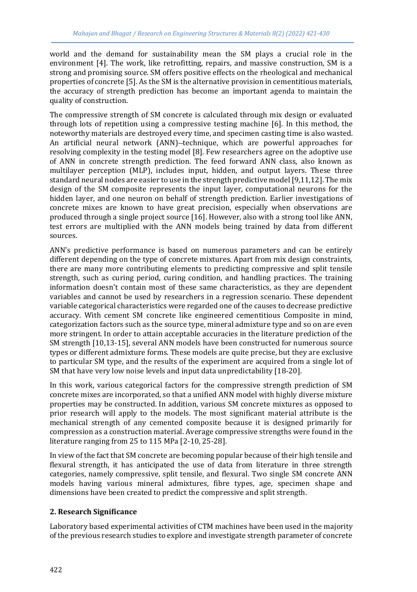world and the demand for sustainability mean the SM plays a crucial role in the environment [4]. The work, like retrofitting, repairs, and massive construction, SM is a strong and promising source. SM offers positive effects on the rheological and mechanical properties of concrete [5]. As the SM is the alternative provision in cementitious materials, the accuracy of strength prediction has become an important agenda to maintain the quality of construction.

The compressive strength of SM concrete is calculated through mix design or evaluated through lots of repetition using a compressive testing machine [6]. In this method, the noteworthy materials are destroyed every time, and specimen casting time is also wasted. An artificial neural network (ANN)-technique, which are powerful approaches for resolving complexity in the testing model [8]. Few researchers agree on the adoptive use of ANN in concrete strength prediction. The feed forward ANN class, also known as multilayer perception (MLP), includes input, hidden, and output layers. These three standard neural nodes are easier to use in the strength predictive model [9,11,12]. The mix design of the SM composite represents the input layer, computational neurons for the hidden layer, and one neuron on behalf of strength prediction. Earlier investigations of concrete mixes are known to have great precision, especially when observations are produced through a single project source [16]. However, also with a strong tool like ANN, test errors are multiplied with the ANN models being trained by data from different sources.

ANN's predictive performance is based on numerous parameters and can be entirely different depending on the type of concrete mixtures. Apart from mix design constraints, there are many more contributing elements to predicting compressive and split tensile strength, such as curing period, curing condition, and handling practices. The training information doesn't contain most of these same characteristics, as they are dependent variables and cannot be used by researchers in a regression scenario. These dependent variable categorical characteristics were regarded one of the causes to decrease predictive accuracy. With cement SM concrete like engineered cementitious Composite in mind, categorization factors such as the source type, mineral admixture type and so on are even more stringent. In order to attain acceptable accuracies in the literature prediction of the SM strength [10,13-15], several ANN models have been constructed for numerous source types or different admixture forms. These models are quite precise, but they are exclusive to particular SM type, and the results of the experiment are acquired from a single lot of SM that have very low noise levels and input data unpredictability [18-20].

In this work, various categorical factors for the compressive strength prediction of SM concrete mixes are incorporated, so that a unified ANN model with highly diverse mixture properties may be constructed. In addition, various SM concrete mixtures as opposed to prior research will apply to the models. The most significant material attribute is the mechanical strength of any cemented composite because it is designed primarily for compression as a construction material. Average compressive strengths were found in the literature ranging from 25 to 115 MPa [2-10, 25-28].

In view of the fact that SM concrete are becoming popular because of their high tensile and flexural strength, it has anticipated the use of data from literature in three strength categories, namely compressive, split tensile, and flexural. Two single SM concrete ANN models having various mineral admixtures, fibre types, age, specimen shape and dimensions have been created to predict the compressive and split strength.

#### **2. Research Significance**

Laboratory based experimental activities of CTM machines have been used in the majority of the previous research studies to explore and investigate strength parameter of concrete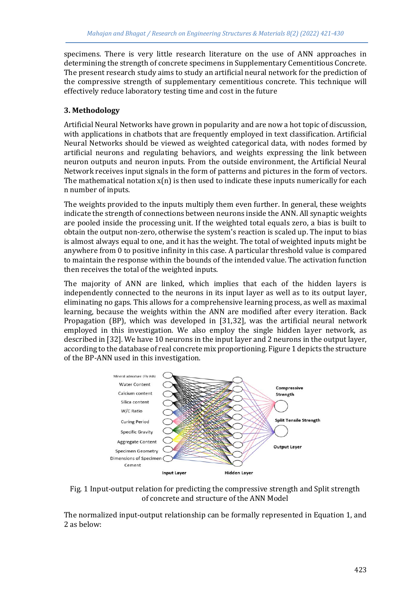specimens. There is very little research literature on the use of ANN approaches in determining the strength of concrete specimens in Supplementary Cementitious Concrete. The present research study aims to study an artificial neural network for the prediction of the compressive strength of supplementary cementitious concrete. This technique will effectively reduce laboratory testing time and cost in the future

#### **3. Methodology**

Artificial Neural Networks have grown in popularity and are now a hot topic of discussion, with applications in chatbots that are frequently employed in text classification. Artificial Neural Networks should be viewed as weighted categorical data, with nodes formed by artificial neurons and regulating behaviors, and weights expressing the link between neuron outputs and neuron inputs. From the outside environment, the Artificial Neural Network receives input signals in the form of patterns and pictures in the form of vectors. The mathematical notation  $x(n)$  is then used to indicate these inputs numerically for each n number of inputs.

The weights provided to the inputs multiply them even further. In general, these weights indicate the strength of connections between neurons inside the ANN. All synaptic weights are pooled inside the processing unit. If the weighted total equals zero, a bias is built to obtain the output non-zero, otherwise the system's reaction is scaled up. The input to bias is almost always equal to one, and it has the weight. The total of weighted inputs might be anywhere from 0 to positive infinity in this case. A particular threshold value is compared to maintain the response within the bounds of the intended value. The activation function then receives the total of the weighted inputs.

The majority of ANN are linked, which implies that each of the hidden layers is independently connected to the neurons in its input layer as well as to its output layer, eliminating no gaps. This allows for a comprehensive learning process, as well as maximal learning, because the weights within the ANN are modified after every iteration. Back Propagation (BP), which was developed in [31,32], was the artificial neural network employed in this investigation. We also employ the single hidden layer network, as described in [32]. We have 10 neurons in the input layer and 2 neurons in the output layer, according to the database of real concrete mix proportioning. Figure 1 depicts the structure of the BP-ANN used in this investigation.



Fig. 1 Input-output relation for predicting the compressive strength and Split strength of concrete and structure of the ANN Model

The normalized input-output relationship can be formally represented in Equation 1, and 2 as below: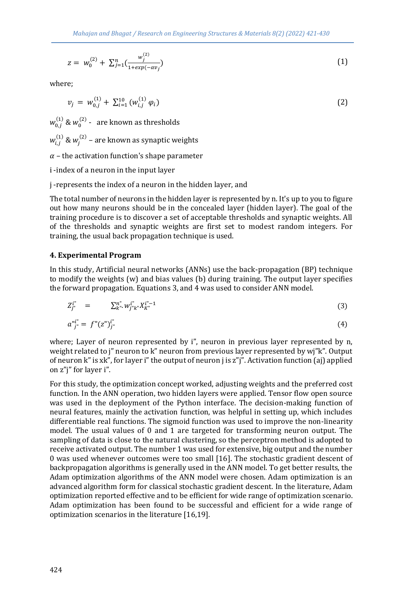$$
z = w_0^{(2)} + \sum_{j=1}^n \left( \frac{w_j^{(2)}}{1 + exp(-\alpha v_j)} \right)
$$
 (1)

where;

$$
v_j = w_{0,j}^{(1)} + \sum_{i=1}^{10} (w_{i,j}^{(1)} \varphi_i)
$$
 (2)

 $w_{0,j}^{(1)}$  &  $w_0^{(2)}$  -  $\,$  are known as thresholds

 $w_{i,j}^{(1)}$  &  $w_j^{(2)}$  – are known as synaptic weights

 $\alpha$  – the activation function's shape parameter

i -index of a neuron in the input layer

j -represents the index of a neuron in the hidden layer, and

The total number of neurons in the hidden layer is represented by n. It's up to you to figure out how many neurons should be in the concealed layer (hidden layer). The goal of the training procedure is to discover a set of acceptable thresholds and synaptic weights. All of the thresholds and synaptic weights are first set to modest random integers. For training, the usual back propagation technique is used.

#### **4. Experimental Program**

In this study, Artificial neural networks (ANNs) use the back-propagation (BP) technique to modify the weights (w) and bias values (b) during training. The output layer specifies the forward propagation. Equations 3, and 4 was used to consider ANN model.

$$
Z_{j^*}^{i^*} = \sum_{k^*}^{n^*} w_{j^*k^*}^{i^*} X_{k^*}^{i^*-1}
$$
 (3)

$$
a^{n}j^{n} = f^{n}(z^{n})j^{n} \tag{4}
$$

where; Layer of neuron represented by i", neuron in previous layer represented by n, weight related to j" neuron to k" neuron from previous layer represented by wj"k". Output of neuron k" is xk", for layer i" the output of neuron j is z"j". Activation function (aj) applied on z"j" for layer i".

For this study, the optimization concept worked, adjusting weights and the preferred cost function. In the ANN operation, two hidden layers were applied. Tensor flow open source was used in the deployment of the Python interface. The decision-making function of neural features, mainly the activation function, was helpful in setting up, which includes differentiable real functions. The sigmoid function was used to improve the non-linearity model. The usual values of 0 and 1 are targeted for transforming neuron output. The sampling of data is close to the natural clustering, so the perceptron method is adopted to receive activated output. The number 1 was used for extensive, big output and the number 0 was used whenever outcomes were too small [16]. The stochastic gradient descent of backpropagation algorithms is generally used in the ANN model. To get better results, the Adam optimization algorithms of the ANN model were chosen. Adam optimization is an advanced algorithm form for classical stochastic gradient descent. In the literature, Adam optimization reported effective and to be efficient for wide range of optimization scenario. Adam optimization has been found to be successful and efficient for a wide range of optimization scenarios in the literature [16,19].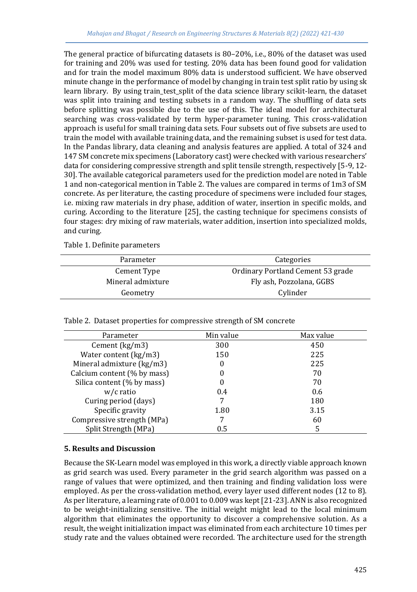The general practice of bifurcating datasets is 80–20%, i.e., 80% of the dataset was used for training and 20% was used for testing. 20% data has been found good for validation and for train the model maximum 80% data is understood sufficient. We have observed minute change in the performance of model by changing in train test split ratio by using sk learn library. By using train\_test\_split of the data science library scikit-learn, the dataset was split into training and testing subsets in a random way. The shuffling of data sets before splitting was possible due to the use of this. The ideal model for architectural searching was cross-validated by term hyper-parameter tuning. This cross-validation approach is useful for small training data sets. Four subsets out of five subsets are used to train the model with available training data, and the remaining subset is used for test data. In the Pandas library, data cleaning and analysis features are applied. A total of 324 and 147 SM concrete mix specimens (Laboratory cast) were checked with various researchers' data for considering compressive strength and split tensile strength, respectively [5-9, 12- 30]. The available categorical parameters used for the prediction model are noted in Table 1 and non-categorical mention in Table 2. The values are compared in terms of 1m3 of SM concrete. As per literature, the casting procedure of specimens were included four stages, i.e. mixing raw materials in dry phase, addition of water, insertion in specific molds, and curing. According to the literature [25], the casting technique for specimens consists of four stages: dry mixing of raw materials, water addition, insertion into specialized molds, and curing.

Table 1. Definite parameters

| Parameter         | Categories                        |  |
|-------------------|-----------------------------------|--|
| Cement Type       | Ordinary Portland Cement 53 grade |  |
| Mineral admixture | Fly ash, Pozzolana, GGBS          |  |
| Geometry          | Cylinder                          |  |

| Parameter                   | Min value | Max value |
|-----------------------------|-----------|-----------|
| Cement $(kg/m3)$            | 300       | 450       |
| Water content (kg/m3)       | 150       | 225       |
| Mineral admixture (kg/m3)   | O         | 225       |
| Calcium content (% by mass) |           | 70        |
| Silica content (% by mass)  |           | 70        |
| $w/c$ ratio                 | 0.4       | 0.6       |
| Curing period (days)        |           | 180       |
| Specific gravity            | 1.80      | 3.15      |
| Compressive strength (MPa)  |           | 60        |
| Split Strength (MPa)        | 0.5       | 5         |

Table 2. Dataset properties for compressive strength of SM concrete

#### **5. Results and Discussion**

Because the SK-Learn model was employed in this work, a directly viable approach known as grid search was used. Every parameter in the grid search algorithm was passed on a range of values that were optimized, and then training and finding validation loss were employed. As per the cross-validation method, every layer used different nodes (12 to 8). As per literature, a learning rate of 0.001 to 0.009 was kept [21-23]. ANN is also recognized to be weight-initializing sensitive. The initial weight might lead to the local minimum algorithm that eliminates the opportunity to discover a comprehensive solution. As a result, the weight initialization impact was eliminated from each architecture 10 times per study rate and the values obtained were recorded. The architecture used for the strength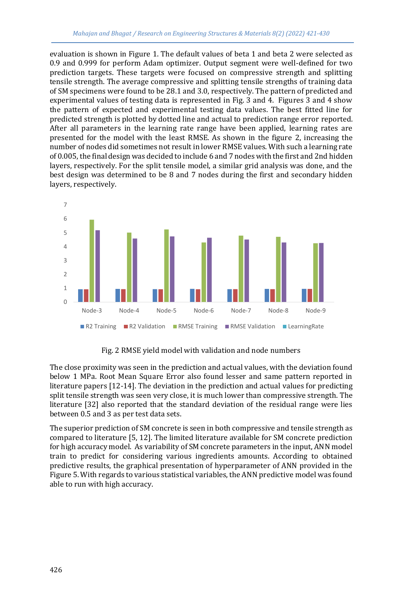evaluation is shown in Figure 1. The default values of beta 1 and beta 2 were selected as 0.9 and 0.999 for perform Adam optimizer. Output segment were well-defined for two prediction targets. These targets were focused on compressive strength and splitting tensile strength. The average compressive and splitting tensile strengths of training data of SM specimens were found to be 28.1 and 3.0, respectively. The pattern of predicted and experimental values of testing data is represented in Fig. 3 and 4. Figures 3 and 4 show the pattern of expected and experimental testing data values. The best fitted line for predicted strength is plotted by dotted line and actual to prediction range error reported. After all parameters in the learning rate range have been applied, learning rates are presented for the model with the least RMSE. As shown in the figure 2, increasing the number of nodes did sometimes not result in lower RMSE values. With such a learning rate of 0.005, the final design was decided to include 6 and 7 nodes with the first and 2nd hidden layers, respectively. For the split tensile model, a similar grid analysis was done, and the best design was determined to be 8 and 7 nodes during the first and secondary hidden layers, respectively.



Fig. 2 RMSE yield model with validation and node numbers

The close proximity was seen in the prediction and actual values, with the deviation found below 1 MPa. Root Mean Square Error also found lesser and same pattern reported in literature papers [12-14]. The deviation in the prediction and actual values for predicting split tensile strength was seen very close, it is much lower than compressive strength. The literature [32] also reported that the standard deviation of the residual range were lies between 0.5 and 3 as per test data sets.

The superior prediction of SM concrete is seen in both compressive and tensile strength as compared to literature [5, 12]. The limited literature available for SM concrete prediction for high accuracy model. As variability of SM concrete parameters in the input, ANN model train to predict for considering various ingredients amounts. According to obtained predictive results, the graphical presentation of hyperparameter of ANN provided in the Figure 5. With regards to various statistical variables, the ANN predictive model was found able to run with high accuracy.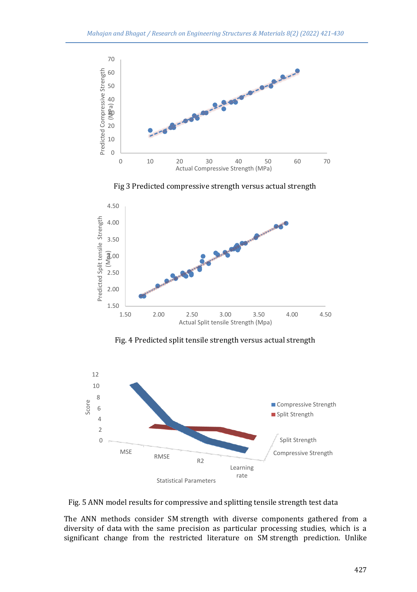

Fig 3 Predicted compressive strength versus actual strength



Fig. 4 Predicted split tensile strength versus actual strength



Fig. 5 ANN model results for compressive and splitting tensile strength test data

The ANN methods consider SM strength with diverse components gathered from a diversity of data with the same precision as particular processing studies, which is a significant change from the restricted literature on SM strength prediction. Unlike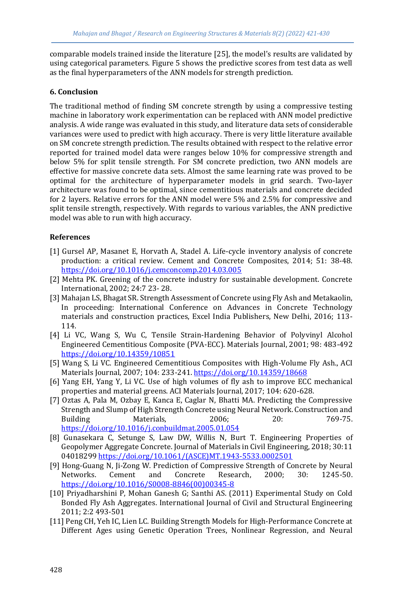comparable models trained inside the literature [25], the model's results are validated by using categorical parameters. Figure 5 shows the predictive scores from test data as well as the final hyperparameters of the ANN models for strength prediction.

#### **6. Conclusion**

The traditional method of finding SM concrete strength by using a compressive testing machine in laboratory work experimentation can be replaced with ANN model predictive analysis. A wide range was evaluated in this study, and literature data sets of considerable variances were used to predict with high accuracy. There is very little literature available on SM concrete strength prediction. The results obtained with respect to the relative error reported for trained model data were ranges below 10% for compressive strength and below 5% for split tensile strength. For SM concrete prediction, two ANN models are effective for massive concrete data sets. Almost the same learning rate was proved to be optimal for the architecture of hyperparameter models in grid search. Two-layer architecture was found to be optimal, since cementitious materials and concrete decided for 2 layers. Relative errors for the ANN model were 5% and 2.5% for compressive and split tensile strength, respectively. With regards to various variables, the ANN predictive model was able to run with high accuracy.

#### **References**

- [1] Gursel AP, Masanet E, Horvath A, Stadel A. Life-cycle inventory analysis of concrete production: a critical review. Cement and Concrete Composites, 2014; 51: 38-48. <https://doi.org/10.1016/j.cemconcomp.2014.03.005>
- [2] Mehta PK. Greening of the concrete industry for sustainable development. Concrete International, 2002; 24:7 23- 28.
- [3] Mahajan LS, Bhagat SR. Strength Assessment of Concrete using Fly Ash and Metakaolin, In proceeding: International Conference on Advances in Concrete Technology materials and construction practices, Excel India Publishers, New Delhi, 2016; 113- 114.
- [4] Li VC, Wang S, Wu C, Tensile Strain-Hardening Behavior of Polyvinyl Alcohol Engineered Cementitious Composite (PVA-ECC). Materials Journal, 2001; 98: 483-492 <https://doi.org/10.14359/10851>
- [5] Wang S, Li VC. Engineered Cementitious Composites with High-Volume Fly Ash., ACI Materials Journal, 2007; 104: 233-241[. https://doi.org/10.14359/18668](https://doi.org/10.14359/18668)
- [6] Yang EH, Yang Y, Li VC. Use of high volumes of fly ash to improve ECC mechanical properties and material greens. ACI Materials Journal, 2017; 104: 620-628.
- [7] Oztas A, Pala M, Ozbay E, Kanca E, Caglar N, Bhatti MA. Predicting the Compressive Strength and Slump of High Strength Concrete using Neural Network. Construction and Building Materials, 2006; 20: 769-75. <https://doi.org/10.1016/j.conbuildmat.2005.01.054>
- [8] Gunasekara C, Setunge S, Law DW, Willis N, Burt T. Engineering Properties of Geopolymer Aggregate Concrete. Journal of Materials in Civil Engineering, 2018; 30:11 04018299 [https://doi.org/10.1061/\(ASCE\)MT.1943-5533.0002501](https://doi.org/10.1061/(ASCE)MT.1943-5533.0002501)
- [9] Hong-Guang N, Ji-Zong W. Prediction of Compressive Strength of Concrete by Neural Networks. Cement and Concrete Research, 2000; 30: 1245-50. [https://doi.org/10.1016/S0008-8846\(00\)00345-8](https://doi.org/10.1016/S0008-8846(00)00345-8)
- [10] Priyadharshini P, Mohan Ganesh G; Santhi AS. (2011) Experimental Study on Cold Bonded Fly Ash Aggregates. International Journal of Civil and Structural Engineering 2011; 2:2 493-501
- [11] Peng CH, Yeh IC, Lien LC. Building Strength Models for High-Performance Concrete at Different Ages using Genetic Operation Trees, Nonlinear Regression, and Neural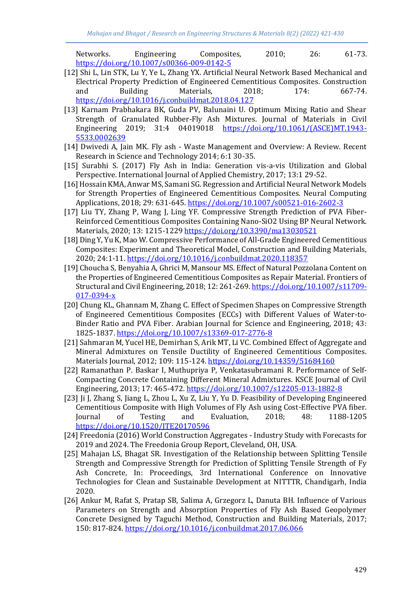Networks. Engineering Composites, 2010; 26: 61-73. <https://doi.org/10.1007/s00366-009-0142-5>

- [12] Shi L, Lin STK, Lu Y, Ye L, Zhang YX. Artificial Neural Network Based Mechanical and Electrical Property Prediction of Engineered Cementitious Composites. Construction and Building Materials, 2018; 174: 667-74. <https://doi.org/10.1016/j.conbuildmat.2018.04.127>
- [13] Karnam Prabhakara BK, Guda PV, Balunaini U. Optimum Mixing Ratio and Shear Strength of Granulated Rubber-Fly Ash Mixtures. Journal of Materials in Civil Engineering 2019; 31:4 04019018 [https://doi.org/10.1061/\(ASCE\)MT.1943-](https://doi.org/10.1061/(ASCE)MT.1943-5533.0002639) [5533.0002639](https://doi.org/10.1061/(ASCE)MT.1943-5533.0002639)
- [14] Dwivedi A, Jain MK. Fly ash Waste Management and Overview: A Review. Recent Research in Science and Technology 2014; 6:1 30-35.
- [15] Surabhi S. (2017) Fly Ash in India: Generation vis-a-vis Utilization and Global Perspective. International Journal of Applied Chemistry, 2017; 13:1 29-52.
- [16] Hossain KMA, Anwar MS, Samani SG. Regression and Artificial Neural Network Models for Strength Properties of Engineered Cementitious Composites. Neural Computing Applications, 2018; 29: 631-645.<https://doi.org/10.1007/s00521-016-2602-3>
- [17] Liu TY, Zhang P, Wang J, Ling YF. Compressive Strength Prediction of PVA Fiber-Reinforced Cementitious Composites Containing Nano-SiO2 Using BP Neural Network. Materials, 2020; 13: 1215-1229<https://doi.org/10.3390/ma13030521>
- [18] Ding Y, Yu K, Mao W. Compressive Performance of All-Grade Engineered Cementitious Composites: Experiment and Theoretical Model, Construction and Building Materials, 2020; 24:1-11[. https://doi.org/10.1016/j.conbuildmat.2020.118357](https://doi.org/10.1016/j.conbuildmat.2020.118357)
- [19] Choucha S, Benyahia A, Ghrici M, Mansour MS. Effect of Natural Pozzolana Content on the Properties of Engineered Cementitious Composites as Repair Material. Frontiers of Structural and Civil Engineering, 2018; 12: 261-269[. https://doi.org/10.1007/s11709-](https://doi.org/10.1007/s11709-017-0394-x) [017-0394-x](https://doi.org/10.1007/s11709-017-0394-x)
- [20] Chung KL, Ghannam M, Zhang C. Effect of Specimen Shapes on Compressive Strength of Engineered Cementitious Composites (ECCs) with Different Values of Water-to-Binder Ratio and PVA Fiber. Arabian Journal for Science and Engineering, 2018; 43: 1825-1837[. https://doi.org/10.1007/s13369-017-2776-8](https://doi.org/10.1007/s13369-017-2776-8)
- [21] Sahmaran M, Yucel HE, Demirhan S, Arik MT, Li VC. Combined Effect of Aggregate and Mineral Admixtures on Tensile Ductility of Engineered Cementitious Composites. Materials Journal, 2012; 109: 115-124[. https://doi.org/10.14359/51684160](https://doi.org/10.14359/51684160)
- [22] Ramanathan P. Baskar I, Muthupriya P, Venkatasubramani R. Performance of Self-Compacting Concrete Containing Different Mineral Admixtures. KSCE Journal of Civil Engineering, 2013; 17: 465-472[. https://doi.org/10.1007/s12205-013-1882-8](https://doi.org/10.1007/s12205-013-1882-8)
- [23] Ji J, Zhang S, Jiang L, Zhou L, Xu Z, Liu Y, Yu D. Feasibility of Developing Engineered Cementitious Composite with High Volumes of Fly Ash using Cost-Effective PVA fiber. Journal of Testing and Evaluation, 2018; 48: 1188-1205 <https://doi.org/10.1520/JTE20170596>
- [24] Freedonia (2016) World Construction Aggregates Industry Study with Forecasts for 2019 and 2024. The Freedonia Group Report, Cleveland, OH, USA.
- [25] Mahajan LS, Bhagat SR. Investigation of the Relationship between Splitting Tensile Strength and Compressive Strength for Prediction of Splitting Tensile Strength of Fy Ash Concrete, In: Proceedings, 3rd International Conference on Innovative Technologies for Clean and Sustainable Development at NITTTR, Chandigarh, India 2020.
- [26] Ankur M, Rafat S, Pratap SB, Salima A, Grzegorz L, Danuta BH. Influence of Various Parameters on Strength and Absorption Properties of Fly Ash Based Geopolymer Concrete Designed by Taguchi Method, Construction and Building Materials, 2017; 150: 817-824.<https://doi.org/10.1016/j.conbuildmat.2017.06.066>